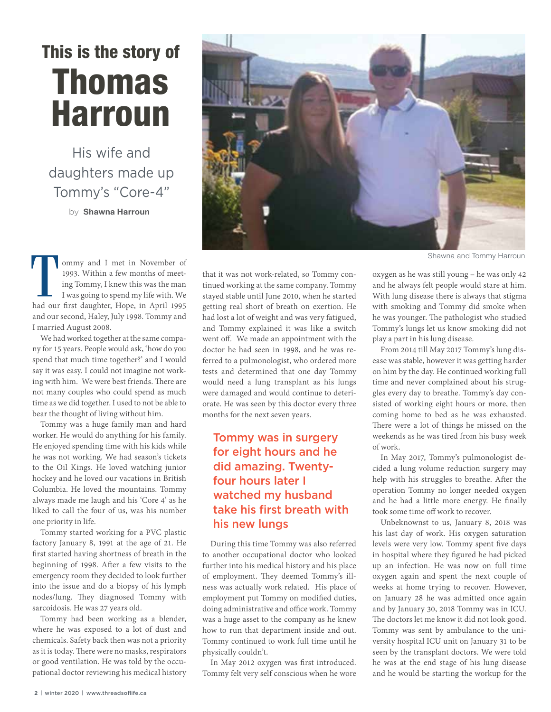## This is the story of Thomas Harroun

His wife and daughters made up Tommy's "Core-4"

by **Shawna Harroun**

ommy and I met in November of 1993. Within a few months of meeting Tommy, I knew this was the man I was going to spend my life with. We had our first daughter, Hope, in April 1995 and our second, Haley, July 1998. Tommy and I married August 2008.

We had worked together at the same company for 15 years. People would ask, 'how do you spend that much time together?' and I would say it was easy. I could not imagine not working with him. We were best friends. There are not many couples who could spend as much time as we did together. I used to not be able to bear the thought of living without him.

Tommy was a huge family man and hard worker. He would do anything for his family. He enjoyed spending time with his kids while he was not working. We had season's tickets to the Oil Kings. He loved watching junior hockey and he loved our vacations in British Columbia. He loved the mountains. Tommy always made me laugh and his 'Core 4' as he liked to call the four of us, was his number one priority in life.

Tommy started working for a PVC plastic factory January 8, 1991 at the age of 21. He first started having shortness of breath in the beginning of 1998. After a few visits to the emergency room they decided to look further into the issue and do a biopsy of his lymph nodes/lung. They diagnosed Tommy with sarcoidosis. He was 27 years old.

Tommy had been working as a blender, where he was exposed to a lot of dust and chemicals. Safety back then was not a priority as it is today. There were no masks, respirators or good ventilation. He was told by the occupational doctor reviewing his medical history



Shawna and Tommy Harroun

that it was not work-related, so Tommy continued working at the same company. Tommy stayed stable until June 2010, when he started getting real short of breath on exertion. He had lost a lot of weight and was very fatigued, and Tommy explained it was like a switch went off. We made an appointment with the doctor he had seen in 1998, and he was referred to a pulmonologist, who ordered more tests and determined that one day Tommy would need a lung transplant as his lungs were damaged and would continue to deteriorate. He was seen by this doctor every three months for the next seven years.

## Tommy was in surgery for eight hours and he did amazing. Twentyfour hours later I watched my husband take his first breath with his new lungs

During this time Tommy was also referred to another occupational doctor who looked further into his medical history and his place of employment. They deemed Tommy's illness was actually work related. His place of employment put Tommy on modified duties, doing administrative and office work. Tommy was a huge asset to the company as he knew how to run that department inside and out. Tommy continued to work full time until he physically couldn't.

In May 2012 oxygen was first introduced. Tommy felt very self conscious when he wore oxygen as he was still young – he was only 42 and he always felt people would stare at him. With lung disease there is always that stigma with smoking and Tommy did smoke when he was younger. The pathologist who studied Tommy's lungs let us know smoking did not play a part in his lung disease.

From 2014 till May 2017 Tommy's lung disease was stable, however it was getting harder on him by the day. He continued working full time and never complained about his struggles every day to breathe. Tommy's day consisted of working eight hours or more, then coming home to bed as he was exhausted. There were a lot of things he missed on the weekends as he was tired from his busy week of work.

In May 2017, Tommy's pulmonologist decided a lung volume reduction surgery may help with his struggles to breathe. After the operation Tommy no longer needed oxygen and he had a little more energy. He finally took some time off work to recover.

Unbeknownst to us, January 8, 2018 was his last day of work. His oxygen saturation levels were very low. Tommy spent five days in hospital where they figured he had picked up an infection. He was now on full time oxygen again and spent the next couple of weeks at home trying to recover. However, on January 28 he was admitted once again and by January 30, 2018 Tommy was in ICU. The doctors let me know it did not look good. Tommy was sent by ambulance to the university hospital ICU unit on January 31 to be seen by the transplant doctors. We were told he was at the end stage of his lung disease and he would be starting the workup for the